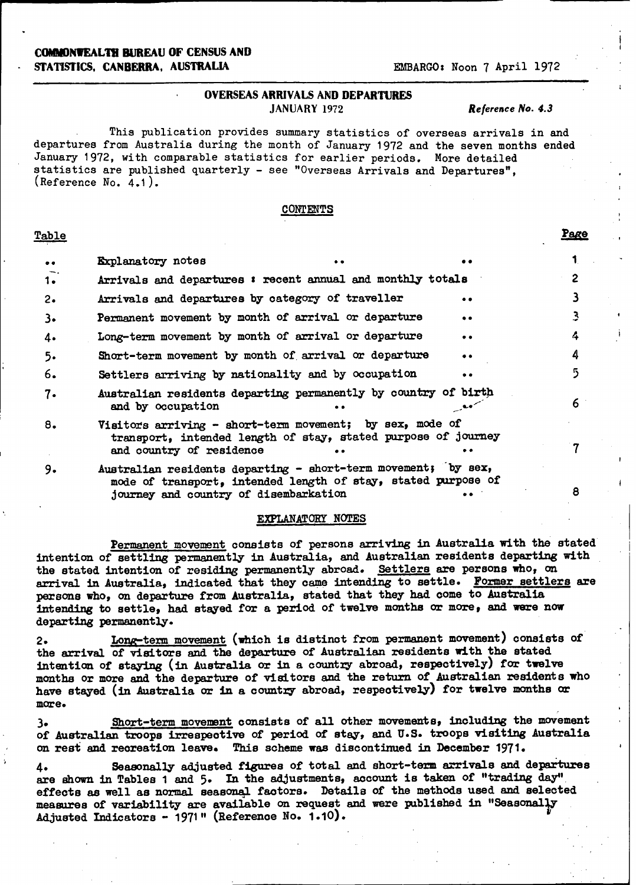### **COIMONVEALTH BUREAU OF CENSUS AND STATISTICS, CANBERRA, AUSTRALIA EMBARGO:** Noon 7 April 1972

### **OVERSEAS ARRIVALS AND DEPARTURES** JANUARY 1972 *Reference No. 4.3*

This publication provides summary statistics of overseas arrivals in and departures from Australia during the month of January 1972 and the seven months ended January 1972, with comparable statistics for earlier periods. More detailed statistics are published quarterly - see "Overseas Arrivals and Departures", (Reference No. 4.1).

### **CONTENTS**

### Table **Page**

| $\bullet\bullet$ | Explanatory notes                                             |                                                                                                                           |           |   |
|------------------|---------------------------------------------------------------|---------------------------------------------------------------------------------------------------------------------------|-----------|---|
| $1 -$            |                                                               | Arrivals and departures : recent annual and monthly totals                                                                |           | 2 |
| $2\cdot$         | Arrivals and departures by category of traveller              |                                                                                                                           | $\bullet$ |   |
| $3\cdot$         | Permanent movement by month of arrival or departure           |                                                                                                                           | $\bullet$ | 3 |
| 4.               |                                                               | Long-term movement by month of arrival or departure                                                                       | $\bullet$ | 4 |
| 5.               |                                                               | Short-term movement by month of arrival or departure                                                                      | $\bullet$ | 4 |
| 6.               | Settlers arriving by nationality and by occupation            |                                                                                                                           | $\bullet$ | 5 |
| 7.               | and by occupation                                             | Australian residents departing permanently by country of birth                                                            |           | 6 |
| 8.               | and country of residence                                      | Visitors arriving - short-term movement; by sex, mode of<br>transport, intended length of stay, stated purpose of journey |           |   |
| 9.               | Australian residents departing - short-term movement; by sex, |                                                                                                                           |           |   |

mode of transport, intended length of stay, stated purpose of journey and country of disembarkation **8 . 8** 

### EXPLANATORY NOTES

Permanent movement consists of persons arriving in Australia with the stated intention of **settling permanently** in Australia, and Australian residents departing with the stated intention of residing permanently abroad. Settlers **are** persons who, on **arrival in Australia, indicated** that they came **intending** to settle. Former settlers are persons who, on departure from Australia, stated that they had come to Australia **intending** to settle, had stayed for a period of twelve months or more, **and** were now **departing permanently.**

2. Long-term movement (which is distinct from permanent movement) consists of the arrival of visitors and the departure of Australian residents with the stated intention of staying (in Australia or in a country abroad, respectively) for twelve months or more and the departure of visitors and the return of Australian residents who have **stayed** (in Australia or in a country abroad, respeotively) for twelve months or **more.**

**<sup>39</sup>**Short-term movement consists of all **other movements, including** the movement of **Australian troops irrespeotive** of period of stay, and U.S. troops visiting Australia on rest and recreation leave. This scheme was discontinued in December 1971.

4. Seasonally adjusted figures of total and short-term arrivals and departures are shown in Tables 1 and 5. In the adjustments, account is taken of "trading day". effects as well as normal seasonal factors. Details of the methods used and selected measures of variability are available on request and **were** published in "Seasonally **Adjusted Indicators** - 1971" (Reference No. 1.10).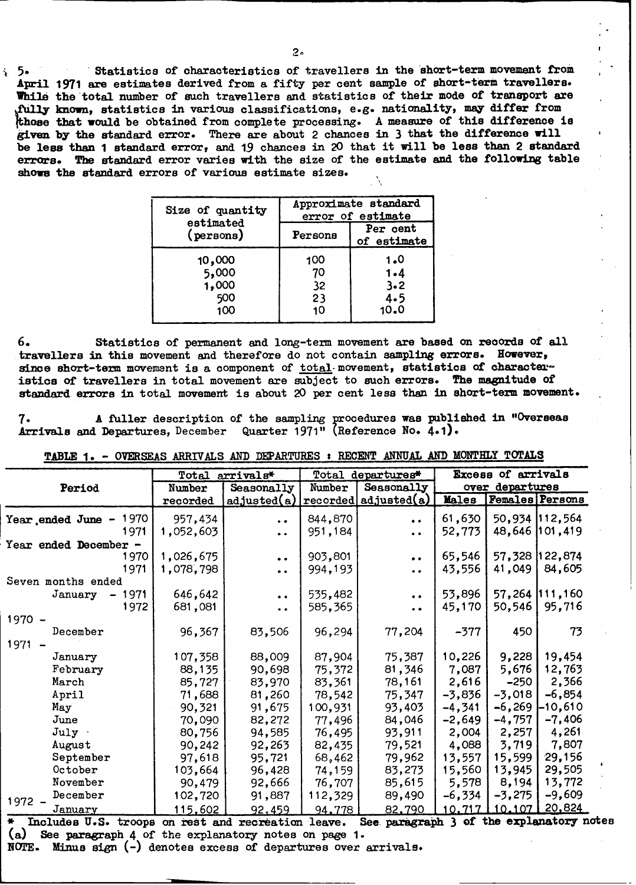' 5. Statistics of characteristics of travellers in the short-term movement from April 1971 are estimates derived from a fifty per cent sample of short-term travellers. While the total number of such travellers and statistics of their mode of transport are **<sup>l</sup>iown,** statistics in various classifications, e.g. nationality, may differ from **those** that **would** be obtained from complete processing. **A** measure of this difference is **given** by the standard error. There are about 2 chances in 3 that the difference will be less than 1 standard error, and 19 chances in 20 that it will be less than 2 standard **errors. The standard** error varies with the size of the estimate and the following table **shows** the standard errors of various estimate sizes.

| Size of quantity             |         | Approximate standard<br>error of estimate |
|------------------------------|---------|-------------------------------------------|
| estimated<br>$(p$ ersons $)$ | Persons | Per cent<br>of estimate                   |
| 10,000                       | 100     | 1.0                                       |
| 5,000                        | 70      | $1 - 4$                                   |
| 1,000                        | 32      | 3.2                                       |
| 500                          | 23      | 4.5                                       |
| 100                          | 10      | 10.0                                      |

**6.** Statistics of permanent and long-term movement are based **on** records of all travellers in this movement and therefore do not contain sampling errors. However, since short-term movement is a component of total-movement, statistics of characteristics of travellers in total movement are subject to such errors. The magnitude of standard errors in total movement is about 20 per cent less than in short-term movement.

**7. A** fuller description of the sampling procedures was published in "Overseas Arrivals and Departures, December Quarter 1971" (Reference No. 4.1).

|                 |                                               |                 |                       | Excess of arrivals                                                                 |          |                                                                                                                                                                                                                                                                                                                                                                                                                                     |
|-----------------|-----------------------------------------------|-----------------|-----------------------|------------------------------------------------------------------------------------|----------|-------------------------------------------------------------------------------------------------------------------------------------------------------------------------------------------------------------------------------------------------------------------------------------------------------------------------------------------------------------------------------------------------------------------------------------|
| Number          | Seasonally                                    | Number          | Seasonally            |                                                                                    |          |                                                                                                                                                                                                                                                                                                                                                                                                                                     |
| recorded        |                                               |                 |                       | Males                                                                              |          | <b>Females</b> Persons                                                                                                                                                                                                                                                                                                                                                                                                              |
| 1970<br>957,434 | $\ddot{\phantom{a}}$                          | 844,870         | $\bullet$             | 61,630                                                                             |          | 50,934 112,564                                                                                                                                                                                                                                                                                                                                                                                                                      |
| 1,052,603       | $\bullet$ $\bullet$                           | 951,184         | $\bullet$             | 52,773                                                                             |          | 48,646 101,419                                                                                                                                                                                                                                                                                                                                                                                                                      |
|                 |                                               |                 |                       |                                                                                    |          |                                                                                                                                                                                                                                                                                                                                                                                                                                     |
| 1,026,675       | $\bullet$                                     | 903,801         | $\bullet$ $\bullet$   | 65,546                                                                             |          | 122,874                                                                                                                                                                                                                                                                                                                                                                                                                             |
| 1,078,798       | $\bullet$                                     | 994,193         | $\bullet$             | 43,556                                                                             | 41,049   | 84,605                                                                                                                                                                                                                                                                                                                                                                                                                              |
|                 |                                               |                 |                       |                                                                                    |          |                                                                                                                                                                                                                                                                                                                                                                                                                                     |
| 646,642         | $\bullet\hspace{0.1cm} \bullet\hspace{0.1cm}$ | 535,482         | $\bullet$ $\bullet$   | 53,896                                                                             |          | 57,264 111,160                                                                                                                                                                                                                                                                                                                                                                                                                      |
| 681,081         | . .                                           | 585,365         | $\ddot{\bullet}$      | 45,170                                                                             | 50,546   | 95,716                                                                                                                                                                                                                                                                                                                                                                                                                              |
|                 |                                               |                 |                       |                                                                                    |          |                                                                                                                                                                                                                                                                                                                                                                                                                                     |
| 96,367          | 83,506                                        | 96,294          | 77,204                | $-377$                                                                             | 450      | 73                                                                                                                                                                                                                                                                                                                                                                                                                                  |
|                 |                                               |                 |                       |                                                                                    |          |                                                                                                                                                                                                                                                                                                                                                                                                                                     |
| 107,358         | 88,009                                        | 87,904          | 75,387                | 10,226                                                                             | 9,228    | 19,454                                                                                                                                                                                                                                                                                                                                                                                                                              |
| 88,135          | 90,698                                        | 75,372          | 81,346                | 7,087                                                                              | 5,676    | 12,763                                                                                                                                                                                                                                                                                                                                                                                                                              |
| 85,727          | 83,970                                        | 83,361          | 78,161                | 2,616                                                                              |          | 2,366                                                                                                                                                                                                                                                                                                                                                                                                                               |
| 71,688          | 81,260                                        | 78,542          | 75,347                | $-3,836$                                                                           | $-3,018$ | $-6,854$                                                                                                                                                                                                                                                                                                                                                                                                                            |
| 90,321          | 91,675                                        | 100,931         | 93,403                | $-4,341$                                                                           | $-6,269$ | $-10,610$                                                                                                                                                                                                                                                                                                                                                                                                                           |
| 70,090          | 82,272                                        |                 | 84,046                | $-2,649$                                                                           | $-4,757$ | $-7,406$                                                                                                                                                                                                                                                                                                                                                                                                                            |
| 80,756          | 94,585                                        | 76,495          | 93,911                | 2,004                                                                              | 2,257    | 4,261                                                                                                                                                                                                                                                                                                                                                                                                                               |
| 90,242          | 92,263                                        | 82,435          | 79,521                | 4,088                                                                              | 3,719    | 7,807                                                                                                                                                                                                                                                                                                                                                                                                                               |
|                 | 95,721                                        | 68,462          |                       | 13,557                                                                             | 15,599   | 29,156                                                                                                                                                                                                                                                                                                                                                                                                                              |
| 103,664         | 96,428                                        | 74,159          | 83,273                | 15,560                                                                             | 13,945   | 29,505                                                                                                                                                                                                                                                                                                                                                                                                                              |
| 90,479          | 92,666                                        |                 | 85,615                | 5,578                                                                              | 8,194    | 13,772                                                                                                                                                                                                                                                                                                                                                                                                                              |
| 102,720         | 91,887                                        | 112,329         | 89,490                | $-6,334$                                                                           | $-3,275$ | $-9,609$                                                                                                                                                                                                                                                                                                                                                                                                                            |
| 115,602         | 92,459                                        |                 | 82.790                | 10.717                                                                             |          | <u>20,824</u>                                                                                                                                                                                                                                                                                                                                                                                                                       |
|                 | 97,618                                        | Total arrivals* | adjusted(a)<br>77,496 | Total departures*<br>recorded adjusted (a)<br>79,962<br>76,707<br>94,778<br>$\sim$ | - 1      | over departures<br>57,328<br>-250<br>10.107<br>$\overline{A}$ $\overline{A}$ $\overline{A}$ $\overline{A}$ $\overline{A}$ $\overline{A}$ $\overline{A}$ $\overline{A}$ $\overline{A}$ $\overline{A}$ $\overline{A}$ $\overline{A}$ $\overline{A}$ $\overline{A}$ $\overline{A}$ $\overline{A}$ $\overline{A}$ $\overline{A}$ $\overline{A}$ $\overline{A}$ $\overline{A}$ $\overline{A}$ $\overline{A}$ $\overline{A}$ $\overline{$ |

TABLE **1.** - OVERSEAS ARRIVALS AND DEPARTURES : RECENT ANNUAL AND M0ONTHLY TOTALS

\* Includes U.S. troops **on rest** and recreation leave. See- paragr ajh **3** of the explanatory notes(a) See paragraph 4 of the explanatory notes on page 1.

**NOTE. Minus** sign (-) denotes excess of departures over arrivals.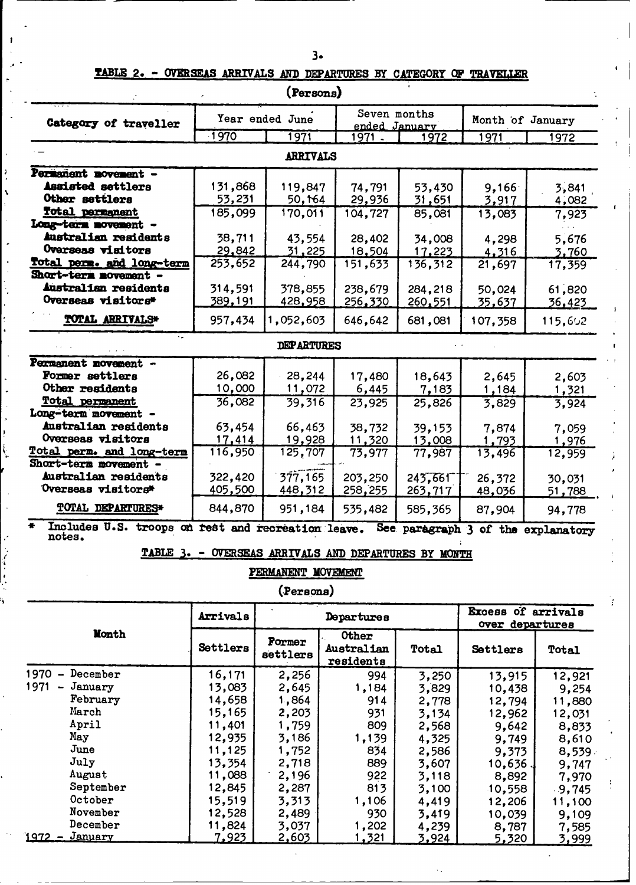## TABLE 2. - OVERSEAS ARRIVALS AND DEPARTURES BY CATEGORY OF TRAVELLER

| (Persons)                                                    |                  |                    |                                  |                       |                                              |                 |  |  |  |  |
|--------------------------------------------------------------|------------------|--------------------|----------------------------------|-----------------------|----------------------------------------------|-----------------|--|--|--|--|
|                                                              |                  | Year ended June    |                                  | Seven months          | Month of January                             |                 |  |  |  |  |
| Category of traveller                                        | 1970             | 1971               |                                  | ended January<br>1972 | 1971                                         | 1972            |  |  |  |  |
|                                                              |                  | ARRIVALS           | 1971.                            |                       |                                              |                 |  |  |  |  |
| Permanent movement -                                         |                  |                    |                                  |                       |                                              |                 |  |  |  |  |
| <b>Assisted settlers</b>                                     | 131,868          | 119,847            | 74,791                           | 53,430                | 9,166                                        | 3,841           |  |  |  |  |
| Other settlers                                               | 53,231           | 50,164             | 29,936                           | 31,651                | 3,917                                        | 4,082           |  |  |  |  |
| Total permanent                                              | 185,099          | 170,011            | 104,727                          | 85,081                | 13,083                                       | 7,923           |  |  |  |  |
| Long-term novement -                                         |                  |                    |                                  |                       |                                              |                 |  |  |  |  |
| Australian residents<br>Ovarseas visitors                    | 38,711<br>29,842 | 43,554<br>31,225   | 28,402<br>18,504                 | 34,008<br>17,223      | 4,298                                        | 5,676           |  |  |  |  |
| Total perm. and long-term                                    | 253,652          | 244,790            | 151,633                          | 136,312               | 4,316<br>21,697                              | 3,760<br>17,359 |  |  |  |  |
| Short-term movement -                                        |                  |                    |                                  |                       |                                              |                 |  |  |  |  |
| Australian residents                                         | 314,591          | 378,855            | 238,679                          | 284,218               | 50,024                                       | 61,820          |  |  |  |  |
| Overseas visitors*                                           | <u>389,191</u>   | 428,958            | 256,330                          | 260,551               | <u>35,637</u>                                | <u>36,423</u>   |  |  |  |  |
| TOTAL ARRIVALS*                                              | 957,434          | 1,052,603          | 646,642                          | 681,081               | 107,358                                      | 115,602         |  |  |  |  |
|                                                              |                  | <b>DEPARTURES</b>  |                                  |                       |                                              |                 |  |  |  |  |
| Permanent novement -                                         |                  |                    |                                  |                       |                                              |                 |  |  |  |  |
| Former settlers                                              | 26,082           | 28,244             | 17,480                           | 18,643                | 2,645                                        | 2,603           |  |  |  |  |
| Other residents                                              | 10,000           | 11,072             | 6,445                            | 7,183                 | 1,184                                        | 1,321           |  |  |  |  |
| Total permanent<br>Long-term movement -                      | 36,082           | 39,316             | 23,925                           | 25,826                | 3,829                                        | 3,924           |  |  |  |  |
| Australian residents                                         | 63,454           | 66,463             | 38,732                           | 39,153                | 7,874                                        | 7,059           |  |  |  |  |
| Overseas visitors                                            | 17,414           | 19,928             | 11,320                           | 13,008                | 1,793                                        | <u>1,976</u>    |  |  |  |  |
| Total perm. and long-term                                    | 116,950          | 125,707            | 73,977                           | 77,987                | 13,496                                       | 12,959          |  |  |  |  |
| Short-term movement -                                        |                  |                    |                                  |                       |                                              |                 |  |  |  |  |
| Australian residents                                         | 322,420          | 377,165            | 203,250                          | 245,661               | 26,372                                       | 30,031          |  |  |  |  |
| Overseas visitors*                                           | 405,500          | 448,312            | 258,255                          | 263,717               | 48,036                                       | 51,788          |  |  |  |  |
| <b>TOTAL DEPARTURES*</b>                                     | 844,870          | 951,184            | 535,482                          | 585,365               | 87,904                                       | 94,778          |  |  |  |  |
| Includes U.S. troops on rest and recreation leave.<br>notes. |                  |                    |                                  |                       | See paragraph 3 of the explanatory           |                 |  |  |  |  |
| TABLE 3                                                      | <b>OVERSEAS</b>  |                    | ARRIVALS AND DEPARTURES BY MONTH |                       |                                              |                 |  |  |  |  |
|                                                              |                  | PERMANENT MOVEMENT |                                  |                       |                                              |                 |  |  |  |  |
|                                                              |                  | (Persons)          |                                  |                       |                                              |                 |  |  |  |  |
|                                                              | Arrivals         |                    | Departures                       |                       | <b>Excess of arrivals</b><br>over departures |                 |  |  |  |  |
| Month                                                        | Settlers         | Former             | <b>Other</b><br>Australian       | Total                 | Settlers                                     | Total           |  |  |  |  |
|                                                              |                  | settlers           | residents                        |                       |                                              |                 |  |  |  |  |
| $1970 -$ December                                            | 16,171           | 2,256              | 994                              | 3,250                 | 13,915                                       | 12,921          |  |  |  |  |
| $1971 - January$<br>February                                 | 13,083           | 2,645              | 1,184                            | 3,829                 | 10,438                                       | 9,254           |  |  |  |  |
| March                                                        | 14,658<br>15,165 | 1,864<br>2,203     | 914<br>931                       | 2,778                 | 12,794                                       | 11,880          |  |  |  |  |
| April                                                        | 11,401           | 1,759              | 809                              | 3,134<br>2,568        | 12,962<br>9,642                              | 12,031<br>8,833 |  |  |  |  |
| May                                                          | 12,935           | 3,186              | 1,139                            | 4,325                 | 9,749                                        | 8,610           |  |  |  |  |
| June                                                         | 11,125           | 1,752              | 834                              | 2,586                 | 9,373                                        | 8,539.          |  |  |  |  |
| July                                                         | 13,354           | 2,718              | 889                              | 3,607                 | 10,636.                                      | 9,747           |  |  |  |  |
| August                                                       | 11,088           | 2,196              | 922                              | 3,118                 | 8,892                                        | 7,970           |  |  |  |  |
| September<br>October                                         | 12,845<br>15,519 | 2,287              | 813                              | 3,100                 | 10,558                                       | $-9,745$        |  |  |  |  |
| November                                                     | 12,528           | 3,313<br>2,489     | 1,106<br>930                     | 4,419<br>3,419        | 12,206<br>10,039                             | 11,100<br>9,109 |  |  |  |  |
| December                                                     | 11,824           | 3,037              | 1,202                            | 4,239                 | 8,787                                        | 7,585           |  |  |  |  |
| $1972 - January$                                             | 7,923            | <u>2,603</u>       | <u>1,321</u>                     | 3,924                 | 5,320                                        | 3,999           |  |  |  |  |

 $\overline{a}$ 

ţ

y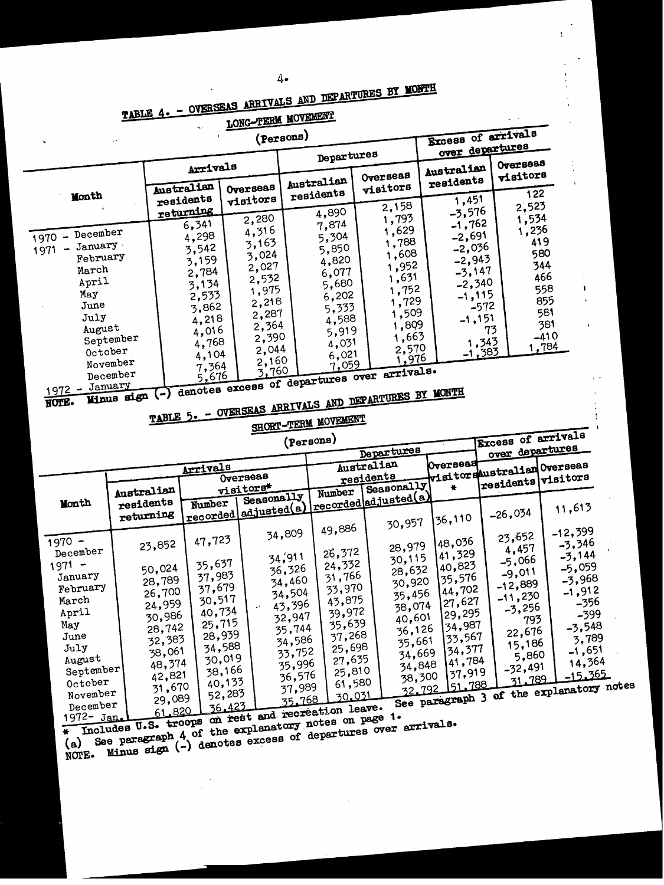# TABLE 4. - OVERSEAS ARRIVALS AND DEPARTURES BY MONTH

Å

 $\begin{array}{c} \bullet \\ \bullet \\ \bullet \end{array}$ 

# LONG-TERM MOVEMENT

|                                                                                                                                                                                     |            |                  | $\overline{\phantom{a}}$ . | <u>vono</u>                                                            |                  |                         |           |                  |                                       |                      |                                          |                      |                    |
|-------------------------------------------------------------------------------------------------------------------------------------------------------------------------------------|------------|------------------|----------------------------|------------------------------------------------------------------------|------------------|-------------------------|-----------|------------------|---------------------------------------|----------------------|------------------------------------------|----------------------|--------------------|
|                                                                                                                                                                                     |            |                  |                            |                                                                        | (Persons)        |                         |           |                  | Excess of arrivals<br>over departures |                      |                                          |                      |                    |
|                                                                                                                                                                                     |            |                  |                            |                                                                        |                  | Departures              |           |                  |                                       |                      | Overseas                                 |                      |                    |
|                                                                                                                                                                                     |            |                  | Arrivals                   |                                                                        |                  |                         |           | Overseas         | Australian                            | residents            | visitors                                 |                      |                    |
| Month                                                                                                                                                                               |            |                  | Australian                 | Overseas                                                               |                  | Australian<br>residents |           | visitors         |                                       |                      | 122                                      |                      |                    |
|                                                                                                                                                                                     |            | residents        |                            | visitors                                                               |                  |                         |           | 2,158            |                                       | 1,451                | 2,523                                    |                      |                    |
|                                                                                                                                                                                     |            |                  | returning<br>6,341         | 2,280                                                                  |                  | 4,890<br>7,874          |           | 1,793            |                                       | $-3,576$<br>$-1,762$ | 1,534                                    |                      |                    |
| December<br>1970                                                                                                                                                                    |            |                  | 4,298                      | 4,316                                                                  |                  | 5,304                   |           | 1,629            |                                       | $-2,691$             | 1,236                                    |                      |                    |
| January ·<br>1971                                                                                                                                                                   |            |                  | 3,542                      | 3,163                                                                  |                  | 5,850                   |           | 1,788            |                                       | $-2,036$             |                                          | 419                  |                    |
| February                                                                                                                                                                            |            |                  | 3,159                      | 3,024                                                                  |                  | 4,820                   |           | 1,608            |                                       | $-2,943$             |                                          | 580<br>344           |                    |
| March                                                                                                                                                                               |            |                  | 2,784                      | 2,027<br>2,532                                                         |                  | 6,077                   |           | 1,952<br>1,631   |                                       | $-3,147$             |                                          | 466                  |                    |
| April                                                                                                                                                                               |            |                  | 3,134                      | 1,975                                                                  |                  | 5,680                   |           | 1,752            |                                       | $-2,340$             |                                          | 558                  | $\mathbf{I}$       |
| May<br>June                                                                                                                                                                         |            |                  | 2,533                      | 2,218                                                                  |                  | 6,202                   |           | 1,729            |                                       | $-1,115$             |                                          | 855                  |                    |
| July                                                                                                                                                                                |            |                  | 3,862                      | 2,287                                                                  |                  | 5,333                   |           | 1,509            |                                       | $-572$               |                                          | 581                  |                    |
| August                                                                                                                                                                              |            |                  | 4,218<br>4,016             | 2,364                                                                  |                  | 4,588<br>5,919          |           | 1,809            |                                       | $-1,151$             | 73                                       | 381                  |                    |
|                                                                                                                                                                                     | September  |                  | 4,768                      | 2,390                                                                  |                  | 4,031                   |           | 1,663            |                                       | 1,343                |                                          | $-410$               |                    |
| October                                                                                                                                                                             |            |                  | 4,104                      | 2,044                                                                  |                  | 6,021                   |           | 2,570            |                                       | <b>-1,383</b>        |                                          | 1,784                |                    |
| November                                                                                                                                                                            |            |                  | 7,364                      | 2,160                                                                  |                  | 7,059                   |           | <u>1,976</u>     |                                       |                      |                                          |                      |                    |
| December<br>January                                                                                                                                                                 |            |                  |                            | denotes excess of departures over arrivals.                            |                  |                         |           |                  |                                       |                      |                                          |                      |                    |
| $1972 -$                                                                                                                                                                            | Minus sign |                  |                            | TABLE 5. - OVERSEAS ARRIVALS AND DEPARTURES BY MONTH                   |                  |                         |           |                  |                                       |                      |                                          |                      |                    |
| NOTE.                                                                                                                                                                               |            |                  |                            |                                                                        |                  |                         |           |                  |                                       |                      |                                          |                      |                    |
|                                                                                                                                                                                     |            |                  |                            |                                                                        |                  | SHORT-TERM MOVEMENT     |           |                  |                                       |                      |                                          |                      |                    |
|                                                                                                                                                                                     |            |                  |                            |                                                                        | (Persons)        |                         |           |                  |                                       |                      | <b>Excess of arrivals</b>                |                      |                    |
|                                                                                                                                                                                     |            |                  |                            |                                                                        |                  |                         |           | Departures       |                                       |                      | over departures                          |                      |                    |
|                                                                                                                                                                                     |            |                  | Arrivals                   |                                                                        |                  | Australian              |           |                  | Overseas                              |                      | visitorsaustralian Overseas              |                      |                    |
|                                                                                                                                                                                     |            |                  |                            | Overseas                                                               |                  |                         | residents |                  |                                       |                      | residents visitors                       |                      |                    |
|                                                                                                                                                                                     |            | Australian       |                            | visitors*<br>Seasonally<br>recorded adjusted (a) recorded adjusted (a) |                  | Number                  |           | Seasonally       | 姜                                     |                      |                                          |                      |                    |
| Month                                                                                                                                                                               | residents  |                  |                            |                                                                        |                  |                         |           |                  |                                       |                      | $-26,034$                                | 11,613               |                    |
|                                                                                                                                                                                     | returning  |                  |                            |                                                                        |                  |                         |           | 30,957           | 36,110                                |                      |                                          |                      |                    |
|                                                                                                                                                                                     |            |                  | 47,723                     |                                                                        | 34,809           | 49,886                  |           |                  |                                       |                      | 23,652                                   | $-12,399$            |                    |
| $1970 -$<br>December                                                                                                                                                                |            | 23,852           |                            |                                                                        |                  | 26,372                  |           | 28,979           |                                       | 48,036<br>41,329     | 4,457                                    | $-3,346$             |                    |
| $1971 -$                                                                                                                                                                            |            |                  | 35,637                     |                                                                        | 34,911           | 24,332                  |           | 30,115           |                                       | 140,823              | $-5,066$                                 | $-3,144$<br>$-5,059$ |                    |
| January                                                                                                                                                                             |            | 50,024<br>28,789 | 37,983                     |                                                                        | 36,326<br>34,460 | 31,766                  |           | 28,632           |                                       | 35,576               | $-9,011$                                 | $-3,968$             |                    |
| February                                                                                                                                                                            |            | 26,700           | 37,679                     |                                                                        | 34,504           | 33,970                  |           | 30,920<br>35,456 |                                       | 144,702              | $-12,889$                                | $-1,912$             |                    |
| March                                                                                                                                                                               |            | 24,959           | 30,517                     |                                                                        | 43,396           | 43,875                  |           | 38,074           |                                       | 27,627               | $-11,230$<br>$-3,256$                    |                      | -356               |
| April                                                                                                                                                                               |            | 30,986           | 40,734                     |                                                                        | 32,947           | 39,972                  |           | 40,601           |                                       | 29,295               | 793                                      |                      | -399               |
| May                                                                                                                                                                                 |            | 28,742           | 25,715<br>28,939           |                                                                        | 35,744           | 35,639                  |           | 36,126           |                                       | 34,987               | 22,676                                   |                      | $-3,548$           |
| June<br>July                                                                                                                                                                        |            | 32,383           | 34,588                     |                                                                        | 34,586           | 37,268<br>25,698        |           | 35,661           |                                       | 33,567               | 15,186                                   |                      | 3,789              |
| August                                                                                                                                                                              |            | 38,061           | 30,019                     |                                                                        | 33,752           | 27,635                  |           | 34,669           |                                       | 34,377<br>41,784     | 5,860                                    |                      | $-1,651$<br>14,364 |
| September                                                                                                                                                                           |            | 48,374<br>42,821 | 38,166                     |                                                                        | 35,996<br>36,576 | 25,810                  |           | 34,848           |                                       | 37,919               | $-32,491$                                |                      | 15.365             |
| October                                                                                                                                                                             |            | 31,670           |                            | 40,133                                                                 | 37,989           | 61,580                  |           | 38,300           |                                       |                      | 31.789                                   |                      |                    |
| November                                                                                                                                                                            |            | 29,089           |                            | 52,283                                                                 | 35.768           | 30.031                  |           |                  |                                       |                      | See paragraph 3 of the explanatory notes |                      |                    |
| December<br>1972- Jan.                                                                                                                                                              |            |                  |                            |                                                                        |                  |                         |           |                  |                                       |                      |                                          |                      |                    |
|                                                                                                                                                                                     |            |                  |                            |                                                                        |                  |                         |           |                  |                                       |                      |                                          |                      |                    |
| Includes U.S. troops on rest and recreation leave.<br>See paragraph A of the explanatory notes on page 1.<br>Minus sign (-) denotes excess of departures over arrivals.<br>₩<br>(a) |            |                  |                            |                                                                        |                  |                         |           |                  |                                       |                      |                                          |                      |                    |
| NOTE.                                                                                                                                                                               |            |                  |                            |                                                                        |                  |                         |           |                  |                                       |                      |                                          |                      |                    |
|                                                                                                                                                                                     |            |                  |                            |                                                                        |                  |                         |           |                  |                                       |                      |                                          |                      |                    |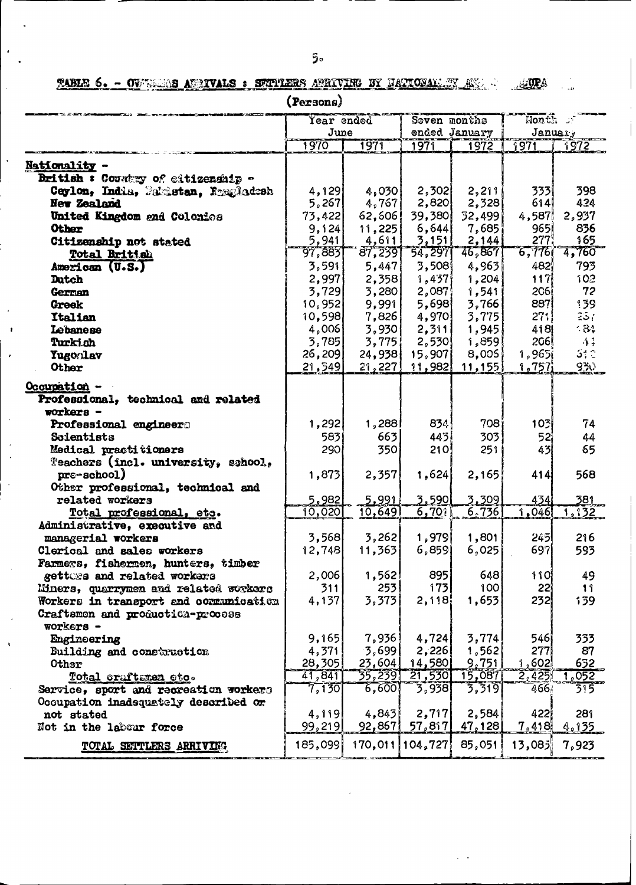uri<br>Historia

ATUPA TABLE 6. - OVERSIOS AUSTVALS: SETPLERS ANRIVING BY HAPTONALLEY AND RE

|                                                  | (Persons)       |                   |                                |               |                 |               |
|--------------------------------------------------|-----------------|-------------------|--------------------------------|---------------|-----------------|---------------|
|                                                  | Year ended      | $\text{float:}$ : |                                |               |                 |               |
|                                                  | June            |                   |                                | ended January |                 | January       |
|                                                  | 1970            | 1971              | 1971                           | 1972          | $\sqrt{971}$    | <u> 1972 </u> |
| Nationality -                                    |                 |                   |                                |               |                 |               |
| British : Country of citizenship -               |                 |                   |                                |               |                 |               |
| Ceylon, India, Pakistan, Emagladesh              | 4,129           | 4,030             | 2,302                          | 2,211         | 3331            | 398           |
| New Zealand                                      | 5,267           | 4,767             | 2,820                          | 2,328         | 614             | 424           |
| United Kingdom and Colonics                      | 73,422          | 62,606            | 39,380                         | 32,4991       | 4,587           | 2,937         |
| <b>Other</b>                                     | 9,124           | 11,225            | 6,644                          | 7,685         | 9651            | 836           |
| Citizenship not stated                           | 5,941           | 4,611             | 3,151                          | 2,144         | 277.            | 165           |
| Total British                                    | 97,883          | 87,239            | 54,297                         | 46,867        | 6,776           | 4,760         |
| American (U.S.)                                  | 3,591           | 5,447             | 3,508                          | 4,963         | 482             | 793           |
| Dutch                                            | 2,997           | 2,358             | 1,437                          | 1,204         | 1171            | 102           |
| German                                           | 3,729           | 3,280             | 2,087                          | 1,541         | <b>206)</b>     | 72            |
| <b>Greek</b>                                     | 10,952          | 9,991             | 5,698                          | 3,766         | 887             | 139           |
| Italian                                          | 10,598          | 7,826             | 4,970                          | 3,775         | 27:             | 237           |
| Lobanese                                         | 4,006           | 3,930             | 2,311                          | 1,945         | 418             | 484           |
| Turkich                                          | 3,785           | 3,775             | 2,530                          | 1,859         | 206             | $+1.7$        |
| Yugoalav                                         | 26, 209         | 24,938            | 15,907                         | 8,005         | 1,9631          | 512           |
| <b>Other</b>                                     | 21,549          | 21,227            | 11,982                         | 11,155        | 1,757;          | $930 -$       |
|                                                  |                 |                   |                                |               |                 |               |
| Occupation -                                     |                 |                   |                                |               |                 |               |
| Professional, technical and related              |                 |                   |                                |               |                 |               |
| workers -                                        |                 |                   |                                |               |                 |               |
| Professional engineers                           | 1,292           | 1,288             | 834                            | 708 i         | 10 <sup>2</sup> | 74            |
| Scientists                                       | 5831            | 663               | 4431                           | 303           | 52)             | 44            |
| Medical practitioners                            | 290             | 350               | 210                            | 251           | 43              | 65            |
| Teachers (incl. university, school,              |                 |                   |                                |               |                 |               |
| pre-school)                                      | 1,873           | 2,357             | 1,624                          | 2,165         | 414             | 568           |
| Other professional, technical and                |                 |                   |                                |               |                 |               |
| related workers                                  | 5,982           | 5,991<br>10,649   | 3,590                          | 3,309         | 434             | 381<br>1, 132 |
| Total professional, etc.                         | 10,020          |                   | 6,701                          | 6,736         | 1,046           |               |
| Administrative, executive and                    |                 | 3,262             | 1,979                          | 1,801         | 2451            | 216           |
| managerial workers<br>Clerical and sales workers | 3,568<br>12,748 | 11,363            | 6,859                          | 6,025         | 697             | 593           |
| Farmers, fishermen, hunters, timber              |                 |                   |                                |               |                 |               |
| getters and related workers                      | 2,006           | 1,562             | 8951                           | 648           | 11 OI           | 49            |
| Miners, quarrymen and related workers            | 311             | 253               | 173                            | 100           | 22 <sup>1</sup> | 11            |
| Workers in transport and communication           | 4,137           | 3,373             | 2,118                          | 1,653         | 232             | 139           |
| Craftsmen and production-process                 |                 |                   |                                |               |                 |               |
| workers -                                        |                 |                   |                                |               |                 |               |
| Engineering                                      | 9,165           | 7,936             | 4,724                          | 3,774         | 546i            | 333           |
| Building and construction                        | 4,371           | 3,6991            | 2,226                          | 1,562         | 277             | 87            |
| Other                                            | 28,305          | 23,604            | 14,580                         | 9,751         | 1,602           | 632           |
| Total craftsmen etc.                             | 41,841          | 35,239            | 21,530                         | 15,087        | 2,425           | 1,052         |
| Service, sport and recreation workers            | 7,130           | 6,600             | 7,938 [                        | 3,319         | 466             | 315           |
| Occupation inadequately described or             |                 |                   |                                |               |                 |               |
| not stated                                       | 4,119           | 4,843             | 2,717                          | 2,584         | 4221            | 281           |
| Not in the labour force                          | 99,219          | 92,867            | 57,817                         | 47,128        | 7,418           | <u>4,135</u>  |
|                                                  |                 |                   |                                |               |                 |               |
| TOTAL SETTLERS ARRIVING                          | 185,099         |                   | $170,011$   $104,727$   85,051 |               | 13,083          | 7,923         |

 $\cdot$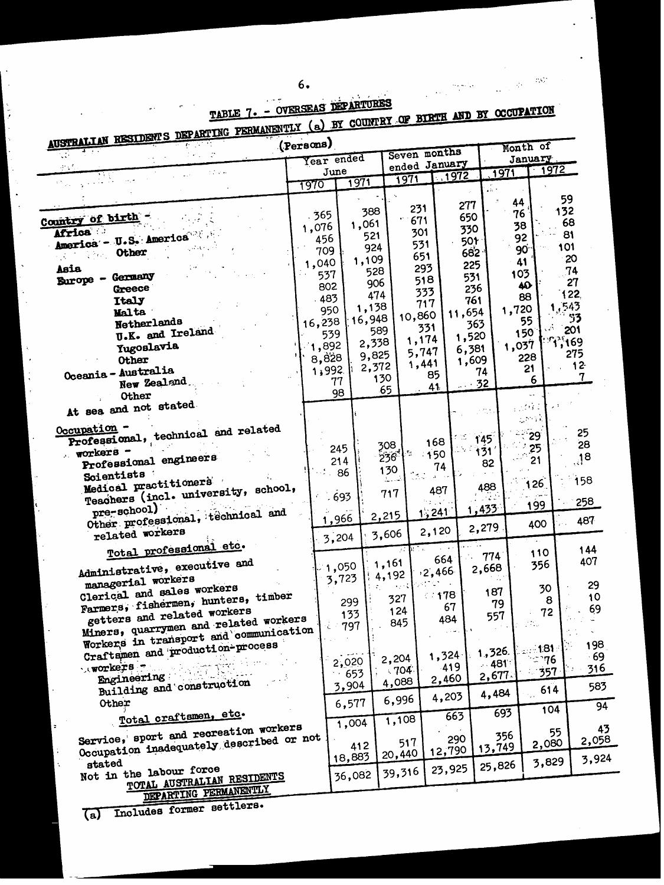| AUSTRALIAN RESIDENTS DEPARTING PERMANENTLY (a) BY GUUNTEL DE DARA                 |           |               |                                    |                |                              |                                         |                        |                  |                    |               |
|-----------------------------------------------------------------------------------|-----------|---------------|------------------------------------|----------------|------------------------------|-----------------------------------------|------------------------|------------------|--------------------|---------------|
|                                                                                   | (Persons) |               |                                    |                | Seven months                 |                                         |                        |                  | Month of           |               |
| $\frac{1}{2}$                                                                     |           |               | Year ended                         |                |                              | ended January                           |                        |                  | January<br>$-1972$ |               |
| $\sim$                                                                            |           | June          | 1971                               |                | 1971                         | 1972                                    |                        | 1971             |                    |               |
| i Nijer                                                                           |           | <u> 1970 </u> |                                    |                |                              |                                         | $\Delta$ 20 $^{\circ}$ |                  |                    |               |
|                                                                                   |           |               |                                    |                |                              |                                         | 277                    | 44               |                    | 59            |
|                                                                                   |           | .365          |                                    | 388            | 231                          |                                         | 650                    | 76               |                    | 132           |
| Country of birth -                                                                |           | 1,076         | 1,061                              |                | 671                          |                                         | 330                    | 38               |                    | 68            |
| Africa<br>America - U.S. America                                                  |           | 456           |                                    | 521            | 301                          |                                         | 501                    | 92               |                    | 81            |
| Other                                                                             |           | 709           |                                    | 924            | 531                          |                                         | 682                    | 90 <sub>1</sub>  |                    | 101           |
|                                                                                   |           | 1,040         | 1,109                              |                | 651                          |                                         |                        | 41               |                    | 20            |
| Asia<br>Germany                                                                   |           | 537           |                                    | 528            | 293                          |                                         | 225                    | 103              |                    | 74            |
| <b>Burope -</b><br><b>Greece</b>                                                  |           | 802           |                                    | 906            | 518                          |                                         | 531                    | $\boldsymbol{A}$ |                    | 27            |
| Italy                                                                             |           | .483          |                                    | 474            | 333                          |                                         | 236<br>761             | 88               |                    | 122           |
| <b>Malta</b>                                                                      |           | 950           |                                    | 1,138          | 717                          |                                         | 11,654                 | 1,720            |                    | .543          |
| Netherlands                                                                       |           | 16,238        |                                    | 16,948         | 10,860                       |                                         | 363                    |                  | 55                 | 53            |
| U.K. and Ireland                                                                  |           | 539           |                                    | 589            | 331                          |                                         |                        | 150              |                    | 201           |
| <b>Yugoslavia</b>                                                                 |           | 1,892         |                                    | 2,338          | 1,174                        |                                         | 1,520                  | 1,037            |                    | <b>99,169</b> |
| Other                                                                             |           | 8,828         |                                    | 9,825          | 5,747                        |                                         | 6,381                  |                  | 228                | 275           |
| Oceania - Australia                                                               |           | 1,992         |                                    | 2,372          | 1,441                        |                                         | 1,609<br>74            |                  | 21                 | $12 -$        |
| New Zealand                                                                       |           |               | 77                                 | 130            |                              | 85                                      | .32                    |                  | 6                  | 7             |
| <b>Other</b>                                                                      |           |               | 98                                 | 65             |                              | 41                                      |                        |                  | u el               |               |
| At sea and not stated                                                             |           |               |                                    |                |                              |                                         |                        |                  | 12034              |               |
|                                                                                   |           |               |                                    |                |                              |                                         | $\sim 200$ k           |                  | $\lesssim 50\%$ k  |               |
| Occupation -                                                                      |           |               |                                    |                |                              |                                         |                        |                  |                    | 25            |
| Professional, technical and related                                               |           |               |                                    | 308            |                              | 168                                     | 145                    |                  | 29                 | 28            |
| workers -                                                                         |           |               | 245                                | 236            | ŀЧ                           | 150                                     | 131                    |                  | 25                 |               |
| Professional engineers                                                            |           |               | 214                                |                |                              | 74                                      | 82                     |                  | 21                 | ្!ុ8          |
| Scientists                                                                        |           |               | 86                                 | 130<br>المددسة |                              | $\Delta \phi \to \phi$                  |                        |                  |                    | 158           |
| Medical practitioners<br>Teachers (incl. university, school,                      |           |               |                                    | 717            |                              | 487                                     | 488                    |                  | 126                |               |
|                                                                                   |           |               | 693                                |                |                              |                                         |                        |                  | 199                | 258           |
| $pre\_echoo1$ )<br>Other professional, technical and                              |           |               |                                    | 2,215          |                              | 1,241                                   | 1,433                  |                  |                    |               |
|                                                                                   |           |               | 1,966                              |                |                              | 2,120                                   | 2,279                  |                  | 400                | 487           |
| related workers                                                                   |           |               | 3,204                              | 3,606          |                              |                                         |                        |                  |                    |               |
| Total professional etc.                                                           |           |               |                                    |                |                              |                                         |                        |                  | 110                | 144           |
| Administrative, executive and                                                     |           |               | $\mathbb{Z}_1$ ,050 $\mathbb{Z}_2$ | 1,161          |                              | 664                                     | 774                    |                  | 356                | 407           |
|                                                                                   |           |               | 3,723                              | 4,192          |                              | ,2,466                                  | 2,668                  |                  |                    |               |
| managerial workers                                                                |           |               |                                    |                | $\alpha \rightarrow \beta$ . | $\mathcal{A}^{\text{max}}_{\text{max}}$ | 187                    |                  | 30                 | 29            |
| Clerical and sales workers<br>Farmers, fishermen, hunters, timber                 |           |               | 299                                |                | 327                          | 478                                     | 79                     |                  | 8                  | 10            |
| getters and related workers                                                       |           |               | 133                                |                | 124                          | 67                                      | 557                    |                  | 72                 | 69            |
| Miners, quarrymen and related workers                                             |           | ١Č            | 797                                |                | 845                          | 484                                     |                        |                  |                    |               |
| Workers in transport and communication                                            |           |               |                                    |                |                              |                                         |                        |                  |                    |               |
|                                                                                   |           |               |                                    |                |                              |                                         |                        |                  | ୀ81 :              | 198           |
| Craftamen and production-process                                                  |           |               | 2,020                              |                | 2,204                        | 1,324                                   | 1,326.                 |                  | ా76                | 69            |
| والإسباب<br>workers -                                                             |           |               | 653                                |                | $-704$                       | 419                                     | .481                   |                  | 357                | 316           |
| Engineering                                                                       |           |               | 3,904                              |                | 4,088                        | 2,460                                   | 2,677.                 |                  |                    | 583           |
| Building and construction                                                         |           |               |                                    |                |                              | 4,203                                   | 4,484                  |                  | 614                |               |
| Other                                                                             |           |               | 6,577                              |                | 6,996                        |                                         |                        |                  | 104                | 94            |
| Total craftsmen, etc.                                                             |           |               |                                    |                | 1,108                        | 663                                     |                        | 693              |                    |               |
|                                                                                   |           |               | 1,004                              |                |                              |                                         |                        |                  |                    | 43            |
| Service, sport and recreation workers<br>Occupation inadequately described or not |           |               |                                    |                | 517                          | 290                                     |                        | 356              | 55                 | 2,058         |
|                                                                                   |           |               | 412                                |                | 20,440                       | 12,790                                  | 13,749                 |                  | 2,080              |               |
| stated                                                                            |           |               | 18,883                             |                |                              |                                         | 25,826                 |                  | 3,829              | 3,924         |
| Not in the labour force                                                           |           |               | 36,082                             |                | 39,316                       | 23,925                                  |                        |                  |                    |               |
| TOTAL AUSTRALIAN RESIDENTS<br><b>NEDA DUTNG PERMANENTLY</b>                       |           |               |                                    |                |                              |                                         |                        |                  |                    |               |

TABLE 7. - OVERSEAS DEPARTURES RTH AND BY OCCUPATION

 $\label{eq:1} \frac{1}{\sqrt{2\pi}}\int_{0}^{\infty}\frac{d\mu}{\sqrt{2\pi}}\frac{d\mu}{\sqrt{2\pi}}\frac{d\mu}{\sqrt{2\pi}}\frac{d\mu}{\sqrt{2\pi}}\frac{d\mu}{\sqrt{2\pi}}\frac{d\mu}{\sqrt{2\pi}}\frac{d\mu}{\sqrt{2\pi}}\frac{d\mu}{\sqrt{2\pi}}\frac{d\mu}{\sqrt{2\pi}}\frac{d\mu}{\sqrt{2\pi}}\frac{d\mu}{\sqrt{2\pi}}\frac{d\mu}{\sqrt{2\pi}}\frac{d\mu}{\sqrt{2\pi}}\frac{d\mu}{\sqrt{$ 

 $\mathcal{L}(\mathbb{Q}^d)$ 

 $\mathcal{O}(\epsilon)$ 

 $\ddot{\phantom{a}}$ 

(a) Includes former settlers.

DEPARTING PERMANENTLY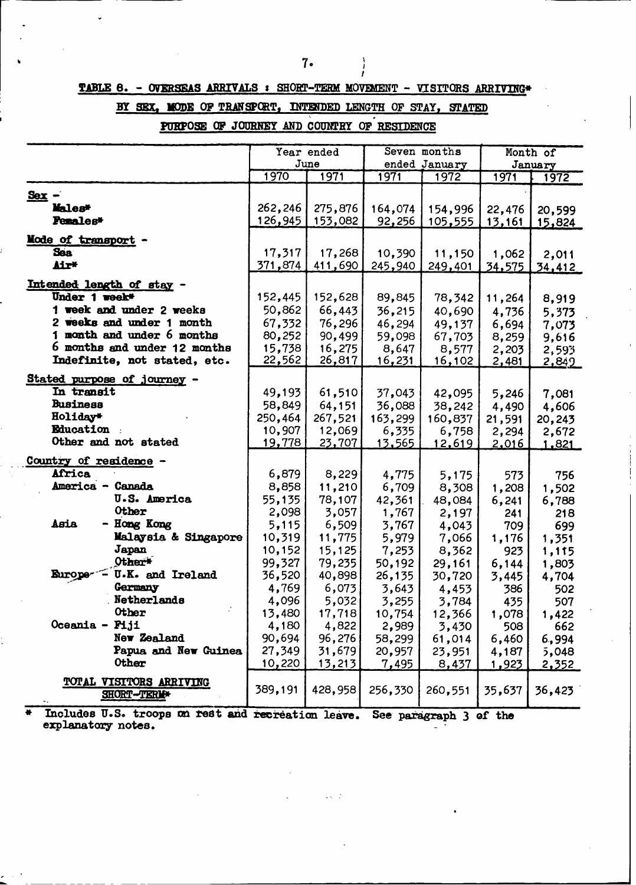**TABLE 8.** - **OVERSEAS ARRIVALS** : **SHORT-TERM MOVEMENT** - VISITORS **ARRIVING\***

### BY SEX, MODE OF TRANSPORT, INTENDED LENGTH OF STAY, STATED

**PURPOSE OF JOURNEY** AND COUNTRY **0P RESIDENCE**

|                                          |               | Year ended    | Seven months  |               |               | Month of      |
|------------------------------------------|---------------|---------------|---------------|---------------|---------------|---------------|
|                                          |               | June          |               | ended January |               | January       |
|                                          | 1970          | 1971          | 1971          | 1972          | 1971          | 1972          |
| $Sex -$                                  |               |               |               |               |               |               |
| Males*                                   | 262,246       | 275,876       | 164,074       | 154,996       | 22,476        | 20,599        |
| <b>Penales*</b>                          | 126,945       | 153,082       | 92,256        | 105,555       | <u>13,161</u> | 15,824        |
|                                          |               |               |               |               |               |               |
| Mode of transport -                      |               |               |               |               |               |               |
| Sea                                      | 17,317        | 17,268        | 10,390        | 11,150        | 1,062         | 2,011         |
| Air*                                     | 371,874       | 411,690       | 245,940       | 249,401       | 34,575        | 34,412        |
| Intended length of stay -                |               |               |               |               |               |               |
| Under 1 week*                            | 152,445       | 152,628       | 89,845        | 78,342        | 11,264        | 8,919         |
| 1 week and under 2 weeks                 | 50,862        | 66,443        | 36,215        | 40,690        | 4,736         | 5,373         |
| 2 weeks and under 1 month                | 67,332        | 76,296        | 46,294        | 49,137        | 6,694         | 7,073         |
| 1 month and under 6 months               | 80,252        | 90,499        | 59,098        | 67,703        | 8,259         | 9,616         |
| 6 months and under 12 months             | 15,738        | 16,275        | 8,647         | 8,577         | 2,203         | 2,593         |
| Indefinite, not stated, etc.             | 22,562        | <u>26,817</u> | <u>16,231</u> | 16,102        | 2,481         | <u>2,849 </u> |
|                                          |               |               |               |               |               |               |
| Stated purpose of journey -              |               |               |               |               |               |               |
| In transit                               | 49,193        | 61,510        | 37,043        | 42,095        | 5,246         | 7,081         |
| <b>Business</b>                          | 58,849        | 64,151        | 36,088        | 38,242        | 4,490         | 4,606         |
| Holiday*                                 | 250,464       | 267,521       | 163,299       | 160,837       | 21,591        | 20,243        |
| Education :                              | 10,907        | 12,069        | 6,335         | 6,758         | 2,294         | 2,672         |
| Other and not stated                     | <u>19,778</u> | 23,707        | <u>13,565</u> | <u>12,619</u> | <u>2,016</u>  | 1,821         |
| Country of residence -                   |               |               |               |               |               |               |
| Africa                                   | 6,879         | 8,229         | 4,775         | 5,175         | 573           | 756           |
| America - Canada                         | 8,858         | 11,210        | 6,709         | 8,308         | 1,208         | 1,502         |
| <b>U.S. America</b>                      | 55,135        | 78,107        | 42,361        | 48,084        | 6,241         | 6,788         |
| <b>Other</b>                             | 2,098         | 3,057         | 1,767         | 2,197         | 241           | 218           |
| Asia<br>- Hong Kong                      | 5,115         | 6,509         | 3,767         | 4,043         | 709           | 699           |
| Malaysia & Singapore                     | 10,319        | 11,775        | 5,979         | 7,066         | 1,176         | 1,351         |
| Japan                                    | 10,152        | 15,125        | 7,253         | 8,362         | 923           | 1,115         |
| Other <sup>*</sup>                       | 99,327        | 79,235        | 50,192        | 29,161        | 6,144         | 1,803         |
| $\sim$ U.K. and Ireland<br><b>Europe</b> | 36,520        | 40,898        | 26,135        | 30,720        | 3,445         | 4,704         |
| Germany                                  | 4,769         | 6,073         | 3,643         | 4,453         | 386           | 502           |
| Netherlands                              | 4,096         | 5,032         | 3,255         | 3,784         | 435           | 507           |
| <b>Other</b>                             | 13,480        | 17,718        | 10,754        | 12,366        | 1,078         | 1,422         |
| Oceania - Piji                           | 4,180         | 4,822         | 2,989         | 3,430         | 508           | 662           |
| New Zealand                              | 90,694        | 96,276        | 58,299        | 61,014        | 6,460         | 6,994         |
| Papua and New Guinea                     | 27,349        | 31,679        | 20,957        | 23,951        | 4,187         | 5,048         |
| Other                                    | 10,220        | 13,213        | 7,495         | 8,437         | 1,923         | 2,352         |
| TOTAL VISITORS ARRIVING                  |               |               |               |               |               |               |
| SHORT-TERM+                              | 389,191       | 428,958       | 256,330       | 260,551       | 35,637        | 36,423        |
|                                          |               |               |               |               |               |               |

 $\blacksquare$  Includes U.S. troops on rest and recreation leave. See paragraph 3 of the explanatory notes.

. . . .